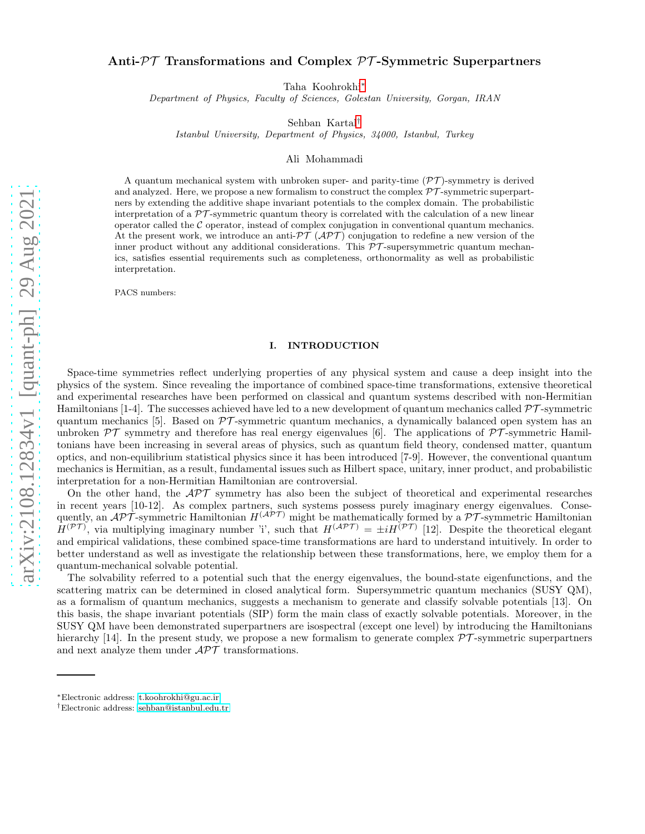## Anti- $\mathcal{PT}$  Transformations and Complex  $\mathcal{PT}$ -Symmetric Superpartners

Taha Koohrokhi[∗](#page-0-0)

Department of Physics, Faculty of Sciences, Golestan University, Gorgan, IRAN

Sehban Kartal[†](#page-0-1)

Istanbul University, Department of Physics, 34000, Istanbul, Turkey

Ali Mohammadi

A quantum mechanical system with unbroken super- and parity-time  $(\mathcal{PT})$ -symmetry is derived and analyzed. Here, we propose a new formalism to construct the complex  $\mathcal{PT}$ -symmetric superpartners by extending the additive shape invariant potentials to the complex domain. The probabilistic interpretation of a  $\mathcal{PT}$ -symmetric quantum theory is correlated with the calculation of a new linear operator called the  $C$  operator, instead of complex conjugation in conventional quantum mechanics. At the present work, we introduce an anti- $\mathcal{PT}(\mathcal{APT})$  conjugation to redefine a new version of the inner product without any additional considerations. This PT -supersymmetric quantum mechanics, satisfies essential requirements such as completeness, orthonormality as well as probabilistic interpretation.

PACS numbers:

#### I. INTRODUCTION

Space-time symmetries reflect underlying properties of any physical system and cause a deep insight into the physics of the system. Since revealing the importance of combined space-time transformations, extensive theoretical and experimental researches have been performed on classical and quantum systems described with non-Hermitian Hamiltonians [1-4]. The successes achieved have led to a new development of quantum mechanics called  $\mathcal{PT}$ -symmetric quantum mechanics [5]. Based on  $\mathcal{PT}$ -symmetric quantum mechanics, a dynamically balanced open system has an unbroken  $\mathcal{PT}$  symmetry and therefore has real energy eigenvalues [6]. The applications of  $\mathcal{PT}$ -symmetric Hamiltonians have been increasing in several areas of physics, such as quantum field theory, condensed matter, quantum optics, and non-equilibrium statistical physics since it has been introduced [7-9]. However, the conventional quantum mechanics is Hermitian, as a result, fundamental issues such as Hilbert space, unitary, inner product, and probabilistic interpretation for a non-Hermitian Hamiltonian are controversial.

On the other hand, the  $\mathcal{APT}$  symmetry has also been the subject of theoretical and experimental researches in recent years [10-12]. As complex partners, such systems possess purely imaginary energy eigenvalues. Consequently, an  $\mathcal{APT}$ -symmetric Hamiltonian  $H^{(\mathcal{APT})}$  might be mathematically formed by a  $\mathcal{PT}$ -symmetric Hamiltonian  $H^{(\mathcal{PT})}$ , via multiplying imaginary number 'i', such that  $H^{(\mathcal{APT})} = \pm i H^{(\mathcal{PT})}$  [12]. Despite the theoretical elegant and empirical validations, these combined space-time transformations are hard to understand intuitively. In order to better understand as well as investigate the relationship between these transformations, here, we employ them for a quantum-mechanical solvable potential.

The solvability referred to a potential such that the energy eigenvalues, the bound-state eigenfunctions, and the scattering matrix can be determined in closed analytical form. Supersymmetric quantum mechanics (SUSY QM), as a formalism of quantum mechanics, suggests a mechanism to generate and classify solvable potentials [13]. On this basis, the shape invariant potentials (SIP) form the main class of exactly solvable potentials. Moreover, in the SUSY QM have been demonstrated superpartners are isospectral (except one level) by introducing the Hamiltonians hierarchy [14]. In the present study, we propose a new formalism to generate complex  $\mathcal{PT}$ -symmetric superpartners and next analyze them under  $\mathcal{APT}$  transformations.

<span id="page-0-0"></span><sup>∗</sup>Electronic address: [t.koohrokhi@gu.ac.ir](mailto:t.koohrokhi@gu.ac.ir)

<span id="page-0-1"></span><sup>†</sup>Electronic address: [sehban@istanbul.edu.tr](mailto:sehban@istanbul.edu.tr)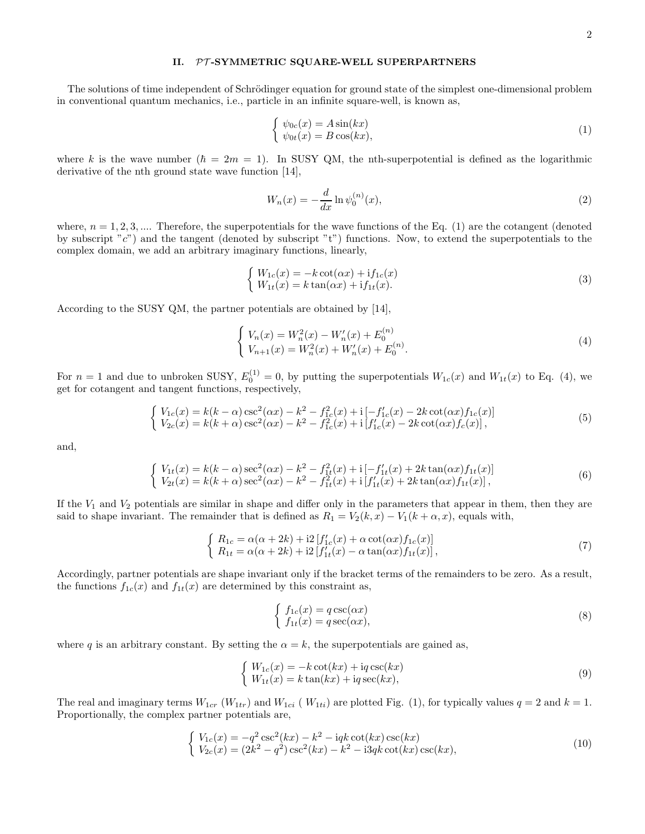### II. PT-SYMMETRIC SQUARE-WELL SUPERPARTNERS

The solutions of time independent of Schrödinger equation for ground state of the simplest one-dimensional problem in conventional quantum mechanics, i.e., particle in an infinite square-well, is known as,

$$
\begin{cases}\n\psi_{0c}(x) = A\sin(kx) \\
\psi_{0t}(x) = B\cos(kx),\n\end{cases} (1)
$$

where k is the wave number ( $\hbar = 2m = 1$ ). In SUSY QM, the nth-superpotential is defined as the logarithmic derivative of the nth ground state wave function [14],

$$
W_n(x) = -\frac{d}{dx} \ln \psi_0^{(n)}(x),
$$
\n(2)

where,  $n = 1, 2, 3, \dots$  Therefore, the superpotentials for the wave functions of the Eq. (1) are the cotangent (denoted by subscript "c") and the tangent (denoted by subscript "t") functions. Now, to extend the superpotentials to the complex domain, we add an arbitrary imaginary functions, linearly,

$$
\begin{cases}\nW_{1c}(x) = -k \cot(\alpha x) + if_{1c}(x) \\
W_{1t}(x) = k \tan(\alpha x) + if_{1t}(x).\n\end{cases}
$$
\n(3)

According to the SUSY QM, the partner potentials are obtained by [14],

$$
\begin{cases} V_n(x) = W_n^2(x) - W_n'(x) + E_0^{(n)} \\ V_{n+1}(x) = W_n^2(x) + W_n'(x) + E_0^{(n)} . \end{cases}
$$
\n(4)

For  $n = 1$  and due to unbroken SUSY,  $E_0^{(1)} = 0$ , by putting the superpotentials  $W_{1c}(x)$  and  $W_{1t}(x)$  to Eq. (4), we get for cotangent and tangent functions, respectively,

$$
\begin{cases}\nV_{1c}(x) = k(k-\alpha)\csc^{2}(\alpha x) - k^{2} - f_{1c}^{2}(x) + i\left[-f_{1c}'(x) - 2k\cot(\alpha x)f_{1c}(x)\right] \\
V_{2c}(x) = k(k+\alpha)\csc^{2}(\alpha x) - k^{2} - f_{1c}^{2}(x) + i\left[f_{1c}'(x) - 2k\cot(\alpha x)f_{c}(x)\right],\n\end{cases}
$$
\n(5)

and,

$$
\begin{cases}\nV_{1t}(x) = k(k - \alpha)\sec^{2}(\alpha x) - k^{2} - f_{1t}^{2}(x) + i[-f_{1t}'(x) + 2k\tan(\alpha x)f_{1t}(x)] \\
V_{2t}(x) = k(k + \alpha)\sec^{2}(\alpha x) - k^{2} - f_{1t}^{2}(x) + i[f_{1t}'(x) + 2k\tan(\alpha x)f_{1t}(x)],\n\end{cases}
$$
\n(6)

If the  $V_1$  and  $V_2$  potentials are similar in shape and differ only in the parameters that appear in them, then they are said to shape invariant. The remainder that is defined as  $R_1 = V_2(k, x) - V_1(k + \alpha, x)$ , equals with,

$$
\begin{cases}\nR_{1c} = \alpha(\alpha + 2k) + i2 \left[ f'_{1c}(x) + \alpha \cot(\alpha x) f_{1c}(x) \right] \\
R_{1t} = \alpha(\alpha + 2k) + i2 \left[ f'_{1t}(x) - \alpha \tan(\alpha x) f_{1t}(x) \right],\n\end{cases} (7)
$$

Accordingly, partner potentials are shape invariant only if the bracket terms of the remainders to be zero. As a result, the functions  $f_{1c}(x)$  and  $f_{1t}(x)$  are determined by this constraint as,

$$
\begin{cases}\nf_{1c}(x) = q \csc(\alpha x) \\
f_{1t}(x) = q \sec(\alpha x),\n\end{cases}
$$
\n(8)

where q is an arbitrary constant. By setting the  $\alpha = k$ , the superpotentials are gained as,

$$
\begin{cases}\nW_{1c}(x) = -k \cot(kx) + \mathrm{i}q \csc(kx) \\
W_{1t}(x) = k \tan(kx) + \mathrm{i}q \sec(kx),\n\end{cases} \tag{9}
$$

The real and imaginary terms  $W_{1cr}$  ( $W_{1tr}$ ) and  $W_{1ci}$  ( $W_{1ti}$ ) are plotted Fig. (1), for typically values  $q = 2$  and  $k = 1$ . Proportionally, the complex partner potentials are,

$$
\begin{cases}\nV_{1c}(x) = -q^2 \csc^2(kx) - k^2 - iqk \cot(kx) \csc(kx) \\
V_{2c}(x) = (2k^2 - q^2) \csc^2(kx) - k^2 - i3qk \cot(kx) \csc(kx),\n\end{cases}
$$
\n(10)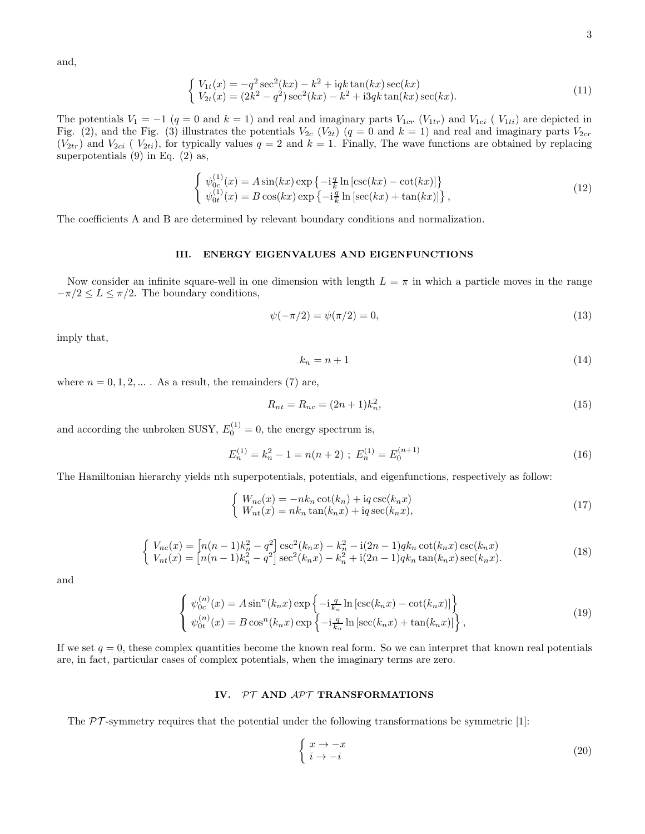and,

$$
\begin{cases}\nV_{1t}(x) = -q^2 \sec^2(kx) - k^2 + iqk \tan(kx) \sec(kx) \\
V_{2t}(x) = (2k^2 - q^2) \sec^2(kx) - k^2 + i3qk \tan(kx) \sec(kx).\n\end{cases}
$$
\n(11)

The potentials  $V_1 = -1$   $(q = 0$  and  $k = 1)$  and real and imaginary parts  $V_{1cr}$   $(V_{1tr})$  and  $V_{1ci}$  ( $V_{1ti}$ ) are depicted in Fig. (2), and the Fig. (3) illustrates the potentials  $V_{2c}$   $(V_{2t})$   $(q = 0$  and  $k = 1)$  and real and imaginary parts  $V_{2cr}$  $(V_{2tr})$  and  $V_{2ci}$  ( $V_{2ti}$ ), for typically values  $q = 2$  and  $k = 1$ . Finally, The wave functions are obtained by replacing superpotentials  $(9)$  in Eq.  $(2)$  as,

$$
\begin{cases}\n\psi_{0c}^{(1)}(x) = A\sin(kx)\exp\left\{-i\frac{q}{k}\ln\left[\csc(kx) - \cot(kx)\right]\right\} \\
\psi_{0t}^{(1)}(x) = B\cos(kx)\exp\left\{-i\frac{q}{k}\ln\left[\sec(kx) + \tan(kx)\right]\right\},\n\end{cases}
$$
\n(12)

The coefficients A and B are determined by relevant boundary conditions and normalization.

## III. ENERGY EIGENVALUES AND EIGENFUNCTIONS

Now consider an infinite square-well in one dimension with length  $L = \pi$  in which a particle moves in the range  $-\pi/2 \le L \le \pi/2$ . The boundary conditions,

$$
\psi(-\pi/2) = \psi(\pi/2) = 0,\tag{13}
$$

imply that,

$$
k_n = n + 1 \tag{14}
$$

where  $n = 0, 1, 2, \dots$ . As a result, the remainders (7) are,

$$
R_{nt} = R_{nc} = (2n+1)k_n^2,
$$
\n(15)

and according the unbroken SUSY,  $E_0^{(1)} = 0$ , the energy spectrum is,

$$
E_n^{(1)} = k_n^2 - 1 = n(n+2) \; ; \; E_n^{(1)} = E_0^{(n+1)} \tag{16}
$$

The Hamiltonian hierarchy yields nth superpotentials, potentials, and eigenfunctions, respectively as follow:

$$
\begin{cases}\nW_{nc}(x) = -nk_n \cot(k_n) + \mathrm{i}q \csc(k_n x) \\
W_{nt}(x) = nk_n \tan(k_n x) + \mathrm{i}q \sec(k_n x),\n\end{cases} \tag{17}
$$

$$
\begin{cases}\nV_{nc}(x) = \left[n(n-1)k_n^2 - q^2\right] \csc^2(k_n x) - k_n^2 - i(2n-1)qk_n \cot(k_n x) \csc(k_n x) \\
V_{nt}(x) = \left[n(n-1)k_n^2 - q^2\right] \sec^2(k_n x) - k_n^2 + i(2n-1)qk_n \tan(k_n x) \sec(k_n x).\n\end{cases} (18)
$$

and

$$
\begin{cases}\n\psi_{0c}^{(n)}(x) = A \sin^{n}(k_n x) \exp\left\{-i\frac{q}{k_n} \ln\left[\csc(k_n x) - \cot(k_n x)\right]\right\} \\
\psi_{0t}^{(n)}(x) = B \cos^{n}(k_n x) \exp\left\{-i\frac{q}{k_n} \ln\left[\sec(k_n x) + \tan(k_n x)\right]\right\},\n\end{cases}
$$
\n(19)

If we set  $q = 0$ , these complex quantities become the known real form. So we can interpret that known real potentials are, in fact, particular cases of complex potentials, when the imaginary terms are zero.

# IV. PT AND APT TRANSFORMATIONS

The  $\mathcal{PT}$ -symmetry requires that the potential under the following transformations be symmetric [1]:

$$
\begin{cases} x \to -x \\ i \to -i \end{cases} \tag{20}
$$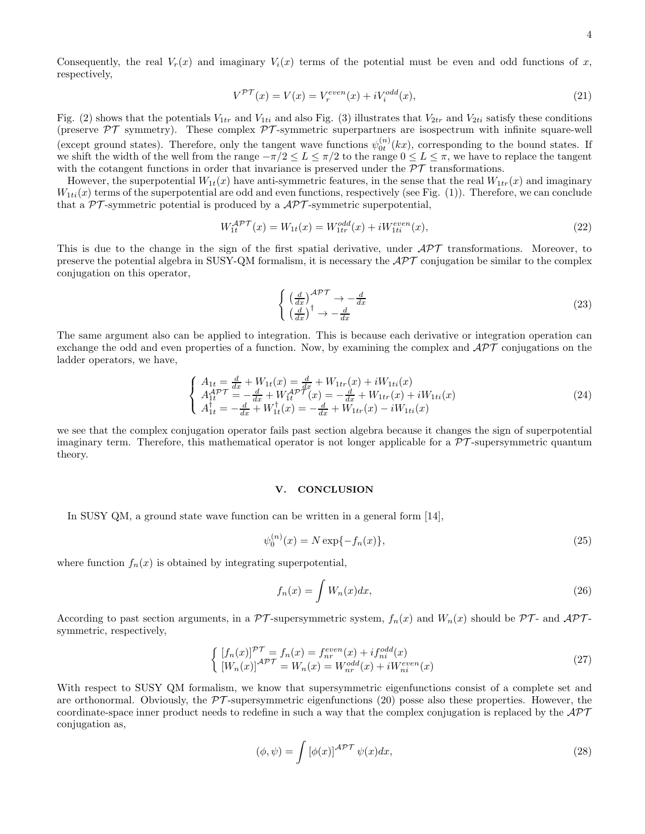Consequently, the real  $V_r(x)$  and imaginary  $V_i(x)$  terms of the potential must be even and odd functions of x, respectively,

$$
V^{\mathcal{PT}}(x) = V(x) = V_r^{even}(x) + iV_i^{odd}(x),\tag{21}
$$

Fig. (2) shows that the potentials  $V_{1tr}$  and  $V_{1ti}$  and also Fig. (3) illustrates that  $V_{2tr}$  and  $V_{2ti}$  satisfy these conditions (preserve  $\mathcal{PT}$  symmetry). These complex  $\mathcal{PT}$ -symmetric superpartners are isospectrum with infinite square-well (except ground states). Therefore, only the tangent wave functions  $\psi_{0t}^{(n)}(kx)$ , corresponding to the bound states. If we shift the width of the well from the range  $-\pi/2 \leq L \leq \pi/2$  to the range  $0 \leq L \leq \pi$ , we have to replace the tangent with the cotangent functions in order that invariance is preserved under the  $\mathcal{PT}$  transformations.

However, the superpotential  $W_{1t}(x)$  have anti-symmetric features, in the sense that the real  $W_{1tr}(x)$  and imaginary  $W_{1ti}(x)$  terms of the superpotential are odd and even functions, respectively (see Fig. (1)). Therefore, we can conclude that a  $\mathcal{PT}$ -symmetric potential is produced by a  $\mathcal{APT}$ -symmetric superpotential,

$$
W_{1t}^{\mathcal{APT}}(x) = W_{1t}(x) = W_{1tr}^{odd}(x) + iW_{1ti}^{even}(x), \tag{22}
$$

This is due to the change in the sign of the first spatial derivative, under  $\mathcal{APT}$  transformations. Moreover, to preserve the potential algebra in SUSY-QM formalism, it is necessary the  $\mathcal{APT}$  conjugation be similar to the complex conjugation on this operator,

$$
\begin{cases} \left(\frac{d}{dx}\right)^{\mathcal{APT}} \to -\frac{d}{dx} \\ \left(\frac{d}{dx}\right)^{\dagger} \to -\frac{d}{dx} \end{cases} \tag{23}
$$

The same argument also can be applied to integration. This is because each derivative or integration operation can exchange the odd and even properties of a function. Now, by examining the complex and  $\mathcal{APT}$  conjugations on the ladder operators, we have,

$$
\begin{cases}\nA_{1t} = \frac{d}{dx} + W_{1t}(x) = \frac{d}{dx} + W_{1tr}(x) + iW_{1ti}(x) \\
A_{1t}^{APT} = -\frac{d}{dx} + W_{1t}^{APT}(x) = -\frac{d}{dx} + W_{1tr}(x) + iW_{1ti}(x) \\
A_{1t}^{\dagger} = -\frac{d}{dx} + W_{1t}^{\dagger}(x) = -\frac{d}{dx} + W_{1tr}(x) - iW_{1ti}(x)\n\end{cases} (24)
$$

we see that the complex conjugation operator fails past section algebra because it changes the sign of superpotential imaginary term. Therefore, this mathematical operator is not longer applicable for a  $\mathcal{PT}$ -supersymmetric quantum theory.

#### V. CONCLUSION

In SUSY QM, a ground state wave function can be written in a general form [14],

$$
\psi_0^{(n)}(x) = N \exp\{-f_n(x)\},\tag{25}
$$

where function  $f_n(x)$  is obtained by integrating superpotential,

$$
f_n(x) = \int W_n(x)dx,\tag{26}
$$

According to past section arguments, in a  $\mathcal{PT}$ -supersymmetric system,  $f_n(x)$  and  $W_n(x)$  should be  $\mathcal{PT}$ - and  $\mathcal{APT}$ symmetric, respectively,

$$
\begin{cases}\n[f_n(x)]^{\mathcal{PT}} = f_n(x) = f_{nr}^{even}(x) + if_{ni}^{odd}(x) \\
[W_n(x)]^{\mathcal{APT}} = W_n(x) = W_{nr}^{odd}(x) + iW_{ni}^{even}(x)\n\end{cases}
$$
\n(27)

With respect to SUSY QM formalism, we know that supersymmetric eigenfunctions consist of a complete set and are orthonormal. Obviously, the  $\mathcal{PT}$ -supersymmetric eigenfunctions (20) posse also these properties. However, the coordinate-space inner product needs to redefine in such a way that the complex conjugation is replaced by the  $\mathcal{APT}$ conjugation as,

$$
(\phi, \psi) = \int \left[\phi(x)\right]^{A\mathcal{PT}} \psi(x) dx,\tag{28}
$$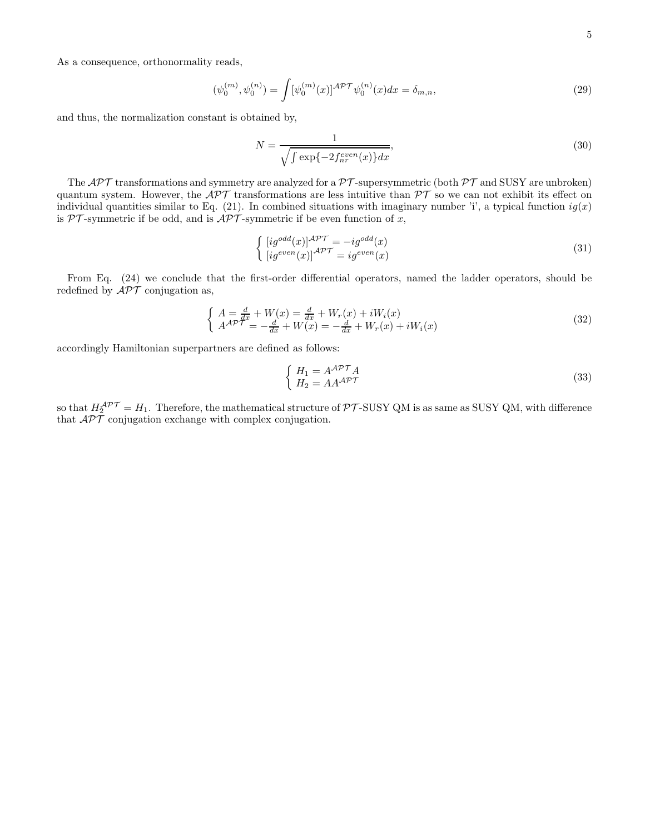As a consequence, orthonormality reads,

$$
(\psi_0^{(m)}, \psi_0^{(n)}) = \int [\psi_0^{(m)}(x)]^{A\mathcal{PT}} \psi_0^{(n)}(x) dx = \delta_{m,n},
$$
\n(29)

and thus, the normalization constant is obtained by,

$$
N = \frac{1}{\sqrt{\int \exp\{-2f_{nr}^{even}(x)\}dx}},\tag{30}
$$

The  $\mathcal{APT}$  transformations and symmetry are analyzed for a  $\mathcal{PT}$ -supersymmetric (both  $\mathcal{PT}$  and SUSY are unbroken) quantum system. However, the  $\mathcal{APT}$  transformations are less intuitive than  $\mathcal{PT}$  so we can not exhibit its effect on individual quantities similar to Eq. (21). In combined situations with imaginary number 'i', a typical function  $ig(x)$ is  $PT$ -symmetric if be odd, and is  $\mathcal{APT}$ -symmetric if be even function of x,

$$
\begin{cases}\n[ig^{odd}(x)]^{APT} = -ig^{odd}(x) \\
[ig^{even}(x)]^{APT} = ig^{even}(x)\n\end{cases} \tag{31}
$$

From Eq. (24) we conclude that the first-order differential operators, named the ladder operators, should be redefined by  $\mathcal{APT}$  conjugation as,

$$
\begin{cases}\nA = \frac{d}{dx} + W(x) = \frac{d}{dx} + W_r(x) + iW_i(x) \\
A^{AP} = -\frac{d}{dx} + W(x) = -\frac{d}{dx} + W_r(x) + iW_i(x)\n\end{cases} (32)
$$

accordingly Hamiltonian superpartners are defined as follows:

$$
\begin{cases}\nH_1 = A^{\mathcal{APT}}A \\
H_2 = AA^{\mathcal{APT}}\n\end{cases}
$$
\n(33)

so that  $H_2^{\mathcal{APT}} = H_1$ . Therefore, the mathematical structure of PT-SUSY QM is as same as SUSY QM, with difference that  $\mathcal{A}\mathcal{P}\mathcal{T}$  conjugation exchange with complex conjugation.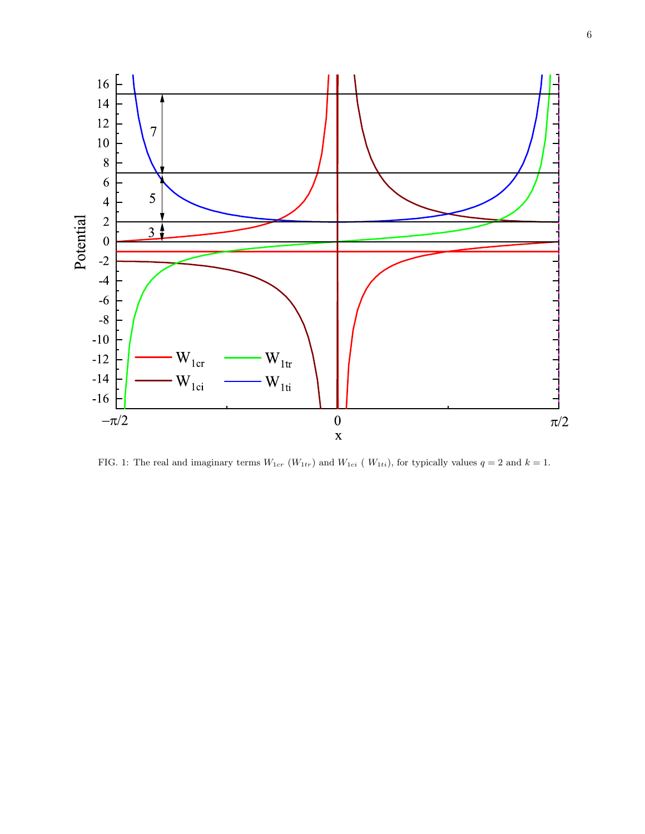

FIG. 1: The real and imaginary terms  $W_{1cr}$  ( $W_{1tr}$ ) and  $W_{1ci}$  ( $W_{1ti}$ ), for typically values  $q = 2$  and  $k = 1$ .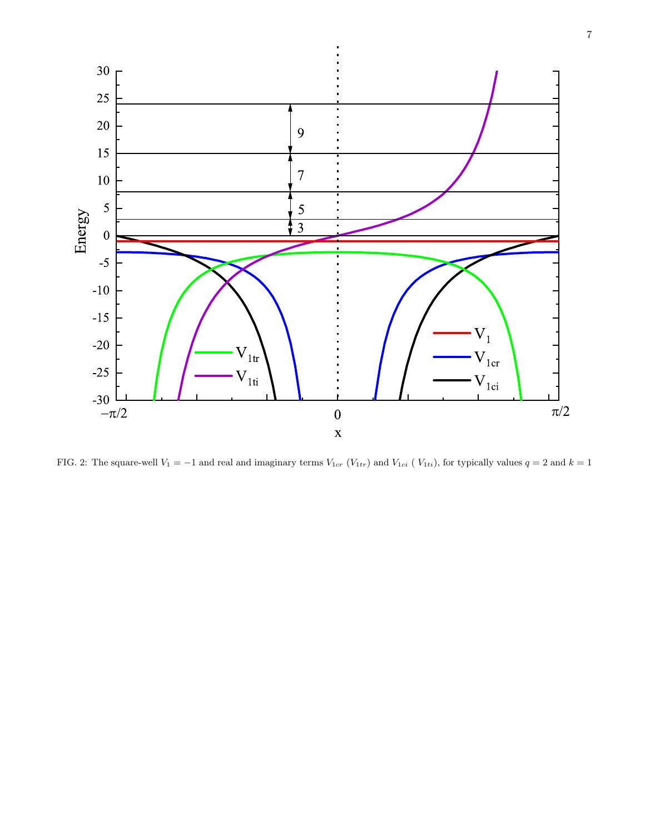

FIG. 2: The square-well  $V_1 = -1$  and real and imaginary terms  $V_{1cr}$  ( $V_{1tr}$ ) and  $V_{1ci}$  ( $V_{1ti}$ ), for typically values  $q = 2$  and  $k = 1$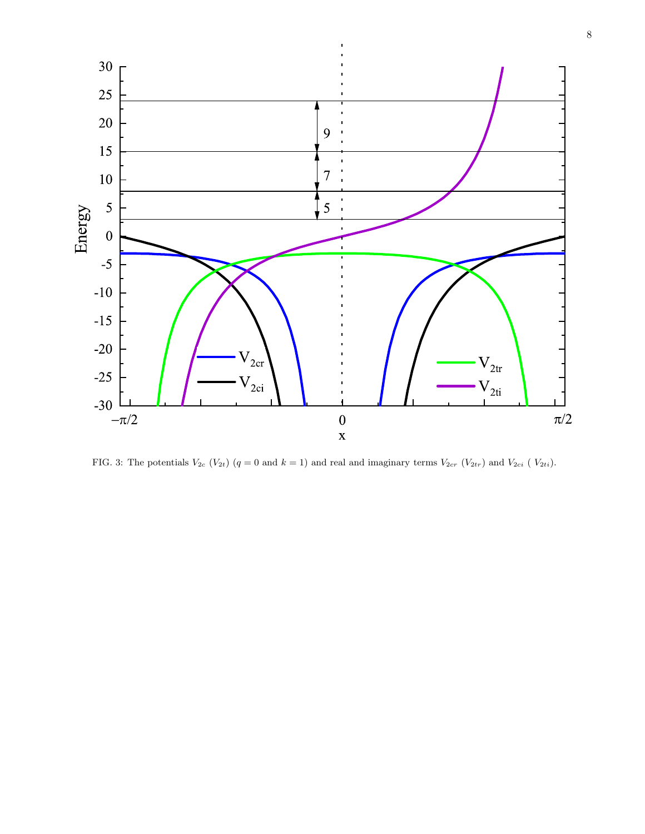

FIG. 3: The potentials  $V_{2c}$  ( $V_{2t}$ ) ( $q = 0$  and  $k = 1$ ) and real and imaginary terms  $V_{2cr}$  ( $V_{2tr}$ ) and  $V_{2ci}$  ( $V_{2ti}$ ).